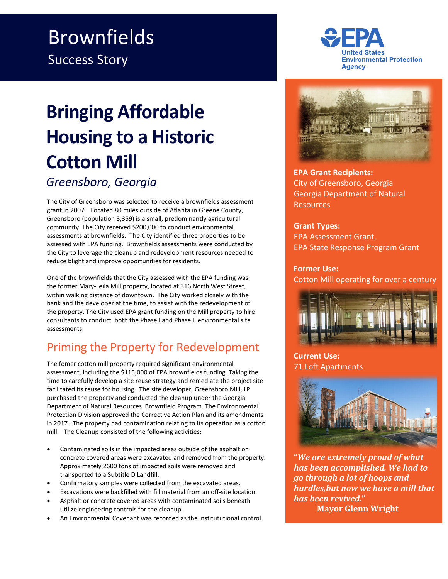## Brownfields Success Story

# **Bringing Affordable Housing to a Historic Cotton Mill**  *Greensboro, Georgia*

The City of Greensboro was selected to receive a brownfields assessment grant in 2007. Located 80 miles outside of Atlanta in Greene County, Greensboro (population 3,359) is a small, predominantly agricultural community. The City received \$200,000 to conduct environmental assessments at brownfields. The City identified three properties to be assessed with EPA funding. Brownfields assessments were conducted by the City to leverage the cleanup and redevelopment resources needed to reduce blight and improve opportunities for residents.

One of the brownfields that the City assessed with the EPA funding was the former Mary-Leila Mill property, located at 316 North West Street, within walking distance of downtown. The City worked closely with the bank and the developer at the time, to assist with the redevelopment of the property. The City used EPA grant funding on the Mill property to hire consultants to conduct both the Phase I and Phase II environmental site assessments.

## Priming the Property for Redevelopment

The fomer cotton mill property required significant environmental assessment, including the \$115,000 of EPA brownfields funding. Taking the time to carefully develop a site reuse strategy and remediate the project site facilitated its reuse for housing. The site developer, Greensboro Mill, LP purchased the property and conducted the cleanup under the Georgia Department of Natural Resources Brownfield Program. The Environmental Protection Division approved the Corrective Action Plan and its amendments in 2017. The property had contamination relating to its operation as a cotton mill. The Cleanup consisted of the following activities:

- Contaminated soils in the impacted areas outside of the asphalt or concrete covered areas were excavated and removed from the property. Approximately 2600 tons of impacted soils were removed and transported to a Subtitle D Landfill.
- Confirmatory samples were collected from the excavated areas.
- Excavations were backfilled with fill material from an off-site location.
- Asphalt or concrete covered areas with contaminated soils beneath utilize engineering controls for the cleanup.
- An Environmental Covenant was recorded as the institututional control.





**EPA Grant Recipients:** City of Greensboro, Georgia Georgia Department of Natural **Resources** 

#### **Grant Types:**

EPA Assessment Grant, EPA State Response Program Grant

#### **Former Use:**

Cotton Mill operating for over a century



**Current Use:** 71 Loft Apartments



**"***We are extremely proud of what has been accomplished. We had to go through a lot of hoops and hurdles,but now we have a mill that has been revived***." Mayor Glenn Wright**